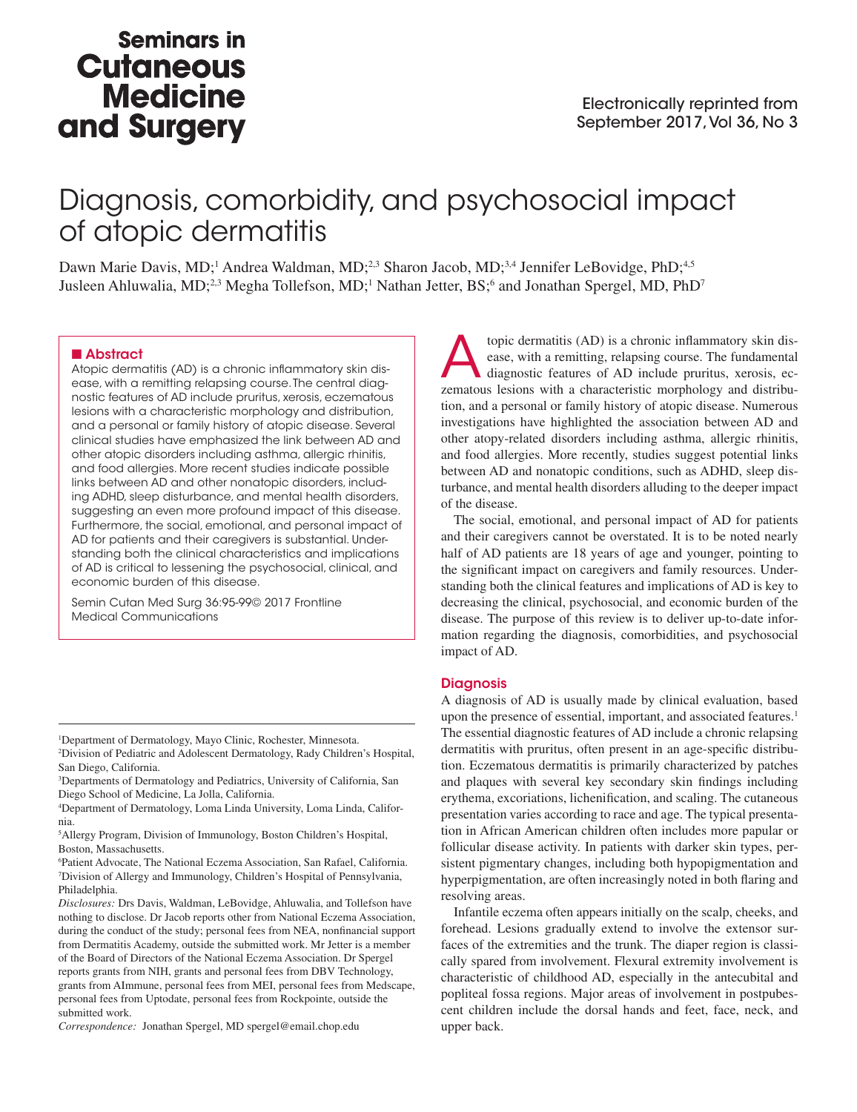## **Seminars in Cutaneous Medicine** and Surgery

# Diagnosis, comorbidity, and psychosocial impact of atopic dermatitis

Dawn Marie Davis, MD;<sup>1</sup> Andrea Waldman, MD;<sup>2,3</sup> Sharon Jacob, MD;<sup>3,4</sup> Jennifer LeBovidge, PhD;<sup>4,5</sup> Jusleen Ahluwalia, MD;<sup>2,3</sup> Megha Tollefson, MD;<sup>1</sup> Nathan Jetter, BS;<sup>6</sup> and Jonathan Spergel, MD, PhD<sup>7</sup>

#### ■ Abstract

Atopic dermatitis (AD) is a chronic inflammatory skin disease, with a remitting relapsing course. The central diagnostic features of AD include pruritus, xerosis, eczematous lesions with a characteristic morphology and distribution, and a personal or family history of atopic disease. Several clinical studies have emphasized the link between AD and other atopic disorders including asthma, allergic rhinitis, and food allergies. More recent studies indicate possible links between AD and other nonatopic disorders, including ADHD, sleep disturbance, and mental health disorders, suggesting an even more profound impact of this disease. Furthermore, the social, emotional, and personal impact of AD for patients and their caregivers is substantial. Understanding both the clinical characteristics and implications of AD is critical to lessening the psychosocial, clinical, and economic burden of this disease.

Semin Cutan Med Surg 36:95-99© 2017 Frontline Medical Communications

1 Department of Dermatology, Mayo Clinic, Rochester, Minnesota.

2 Division of Pediatric and Adolescent Dermatology, Rady Children's Hospital, San Diego, California.

3 Departments of Dermatology and Pediatrics, University of California, San Diego School of Medicine, La Jolla, California.

4 Department of Dermatology, Loma Linda University, Loma Linda, California.

5 Allergy Program, Division of Immunology, Boston Children's Hospital, Boston, Massachusetts.

6 Patient Advocate, The National Eczema Association, San Rafael, California. 7 Division of Allergy and Immunology, Children's Hospital of Pennsylvania, Philadelphia.

*Disclosures:* Drs Davis, Waldman, LeBovidge, Ahluwalia, and Tollefson have nothing to disclose. Dr Jacob reports other from National Eczema Association, during the conduct of the study; personal fees from NEA, nonfinancial support from Dermatitis Academy, outside the submitted work. Mr Jetter is a member of the Board of Directors of the National Eczema Association. Dr Spergel reports grants from NIH, grants and personal fees from DBV Technology, grants from AImmune, personal fees from MEI, personal fees from Medscape, personal fees from Uptodate, personal fees from Rockpointe, outside the submitted work.

*Correspondence:* Jonathan Spergel, MD spergel@email.chop.edu

topic dermatitis (AD) is a chronic inflammatory skin disease, with a remitting, relapsing course. The fundamental diagnostic features of AD include pruritus, xerosis, eczematous lesions with a characteristic morphology and distribution, and a personal or family history of atopic disease. Numerous investigations have highlighted the association between AD and other atopy-related disorders including asthma, allergic rhinitis, and food allergies. More recently, studies suggest potential links between AD and nonatopic conditions, such as ADHD, sleep disturbance, and mental health disorders alluding to the deeper impact of the disease.

The social, emotional, and personal impact of AD for patients and their caregivers cannot be overstated. It is to be noted nearly half of AD patients are 18 years of age and younger, pointing to the significant impact on caregivers and family resources. Understanding both the clinical features and implications of AD is key to decreasing the clinical, psychosocial, and economic burden of the disease. The purpose of this review is to deliver up-to-date information regarding the diagnosis, comorbidities, and psychosocial impact of AD.

#### **Diagnosis**

A diagnosis of AD is usually made by clinical evaluation, based upon the presence of essential, important, and associated features.<sup>1</sup> The essential diagnostic features of AD include a chronic relapsing dermatitis with pruritus, often present in an age-specific distribution. Eczematous dermatitis is primarily characterized by patches and plaques with several key secondary skin findings including erythema, excoriations, lichenification, and scaling. The cutaneous presentation varies according to race and age. The typical presentation in African American children often includes more papular or follicular disease activity. In patients with darker skin types, persistent pigmentary changes, including both hypopigmentation and hyperpigmentation, are often increasingly noted in both flaring and resolving areas.

Infantile eczema often appears initially on the scalp, cheeks, and forehead. Lesions gradually extend to involve the extensor surfaces of the extremities and the trunk. The diaper region is classically spared from involvement. Flexural extremity involvement is characteristic of childhood AD, especially in the antecubital and popliteal fossa regions. Major areas of involvement in postpubescent children include the dorsal hands and feet, face, neck, and upper back.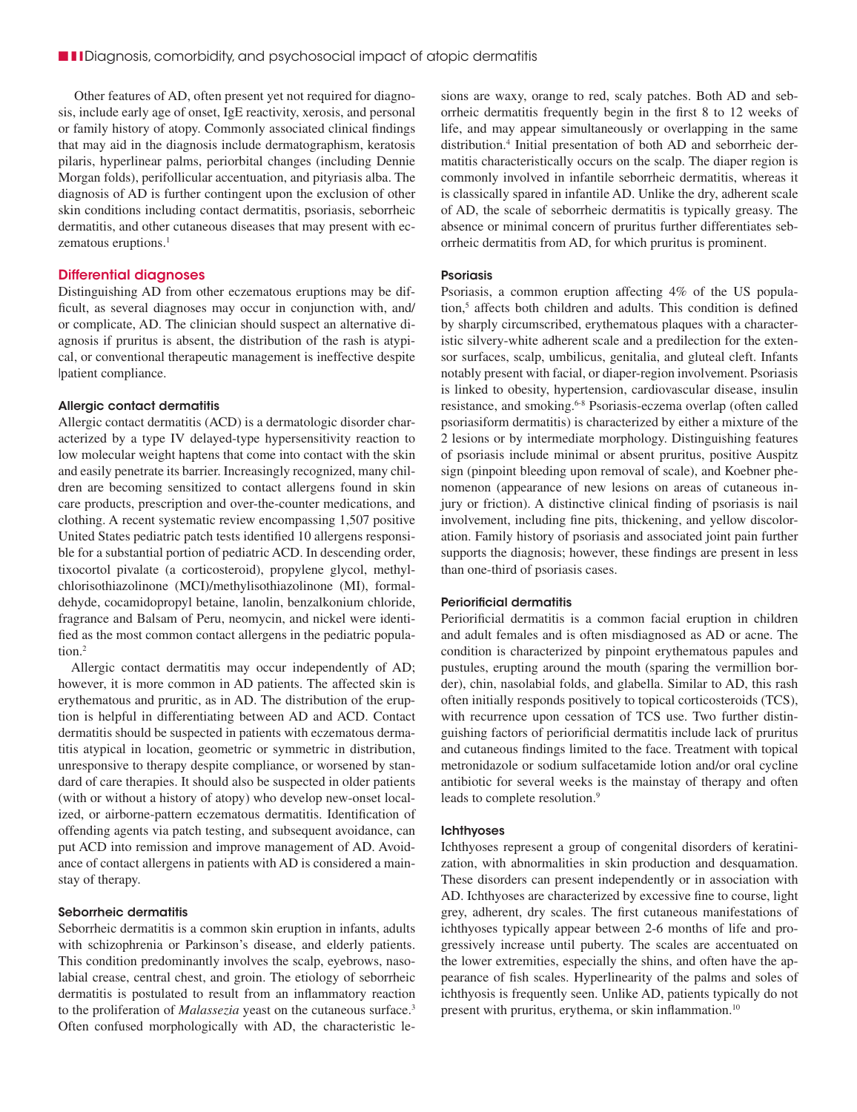Other features of AD, often present yet not required for diagnosis, include early age of onset, IgE reactivity, xerosis, and personal or family history of atopy. Commonly associated clinical findings that may aid in the diagnosis include dermatographism, keratosis pilaris, hyperlinear palms, periorbital changes (including Dennie Morgan folds), perifollicular accentuation, and pityriasis alba. The diagnosis of AD is further contingent upon the exclusion of other skin conditions including contact dermatitis, psoriasis, seborrheic dermatitis, and other cutaneous diseases that may present with eczematous eruptions.<sup>1</sup>

#### Differential diagnoses

Distinguishing AD from other eczematous eruptions may be difficult, as several diagnoses may occur in conjunction with, and/ or complicate, AD. The clinician should suspect an alternative diagnosis if pruritus is absent, the distribution of the rash is atypical, or conventional therapeutic management is ineffective despite |patient compliance.

#### Allergic contact dermatitis

Allergic contact dermatitis (ACD) is a dermatologic disorder characterized by a type IV delayed-type hypersensitivity reaction to low molecular weight haptens that come into contact with the skin and easily penetrate its barrier. Increasingly recognized, many children are becoming sensitized to contact allergens found in skin care products, prescription and over-the-counter medications, and clothing. A recent systematic review encompassing 1,507 positive United States pediatric patch tests identified 10 allergens responsible for a substantial portion of pediatric ACD. In descending order, tixocortol pivalate (a corticosteroid), propylene glycol, methylchlorisothiazolinone (MCI)/methylisothiazolinone (MI), formaldehyde, cocamidopropyl betaine, lanolin, benzalkonium chloride, fragrance and Balsam of Peru, neomycin, and nickel were identified as the most common contact allergens in the pediatric population.2

Allergic contact dermatitis may occur independently of AD; however, it is more common in AD patients. The affected skin is erythematous and pruritic, as in AD. The distribution of the eruption is helpful in differentiating between AD and ACD. Contact dermatitis should be suspected in patients with eczematous dermatitis atypical in location, geometric or symmetric in distribution, unresponsive to therapy despite compliance, or worsened by standard of care therapies. It should also be suspected in older patients (with or without a history of atopy) who develop new-onset localized, or airborne-pattern eczematous dermatitis. Identification of offending agents via patch testing, and subsequent avoidance, can put ACD into remission and improve management of AD. Avoidance of contact allergens in patients with AD is considered a mainstay of therapy.

#### Seborrheic dermatitis

Seborrheic dermatitis is a common skin eruption in infants, adults with schizophrenia or Parkinson's disease, and elderly patients. This condition predominantly involves the scalp, eyebrows, nasolabial crease, central chest, and groin. The etiology of seborrheic dermatitis is postulated to result from an inflammatory reaction to the proliferation of *Malassezia* yeast on the cutaneous surface.3 Often confused morphologically with AD, the characteristic lesions are waxy, orange to red, scaly patches. Both AD and seborrheic dermatitis frequently begin in the first 8 to 12 weeks of life, and may appear simultaneously or overlapping in the same distribution.4 Initial presentation of both AD and seborrheic dermatitis characteristically occurs on the scalp. The diaper region is commonly involved in infantile seborrheic dermatitis, whereas it is classically spared in infantile AD. Unlike the dry, adherent scale of AD, the scale of seborrheic dermatitis is typically greasy. The absence or minimal concern of pruritus further differentiates seborrheic dermatitis from AD, for which pruritus is prominent.

#### **Psoriasis**

Psoriasis, a common eruption affecting 4% of the US population,<sup>5</sup> affects both children and adults. This condition is defined by sharply circumscribed, erythematous plaques with a characteristic silvery-white adherent scale and a predilection for the extensor surfaces, scalp, umbilicus, genitalia, and gluteal cleft. Infants notably present with facial, or diaper-region involvement. Psoriasis is linked to obesity, hypertension, cardiovascular disease, insulin resistance, and smoking.6-8 Psoriasis-eczema overlap (often called psoriasiform dermatitis) is characterized by either a mixture of the 2 lesions or by intermediate morphology. Distinguishing features of psoriasis include minimal or absent pruritus, positive Auspitz sign (pinpoint bleeding upon removal of scale), and Koebner phenomenon (appearance of new lesions on areas of cutaneous injury or friction). A distinctive clinical finding of psoriasis is nail involvement, including fine pits, thickening, and yellow discoloration. Family history of psoriasis and associated joint pain further supports the diagnosis; however, these findings are present in less than one-third of psoriasis cases.

### Periorificial dermatitis

Periorificial dermatitis is a common facial eruption in children and adult females and is often misdiagnosed as AD or acne. The condition is characterized by pinpoint erythematous papules and pustules, erupting around the mouth (sparing the vermillion border), chin, nasolabial folds, and glabella. Similar to AD, this rash often initially responds positively to topical corticosteroids (TCS), with recurrence upon cessation of TCS use. Two further distinguishing factors of periorificial dermatitis include lack of pruritus and cutaneous findings limited to the face. Treatment with topical metronidazole or sodium sulfacetamide lotion and/or oral cycline antibiotic for several weeks is the mainstay of therapy and often leads to complete resolution.<sup>9</sup>

#### **Ichthyoses**

Ichthyoses represent a group of congenital disorders of keratinization, with abnormalities in skin production and desquamation. These disorders can present independently or in association with AD. Ichthyoses are characterized by excessive fine to course, light grey, adherent, dry scales. The first cutaneous manifestations of ichthyoses typically appear between 2-6 months of life and progressively increase until puberty. The scales are accentuated on the lower extremities, especially the shins, and often have the appearance of fish scales. Hyperlinearity of the palms and soles of ichthyosis is frequently seen. Unlike AD, patients typically do not present with pruritus, erythema, or skin inflammation.<sup>10</sup>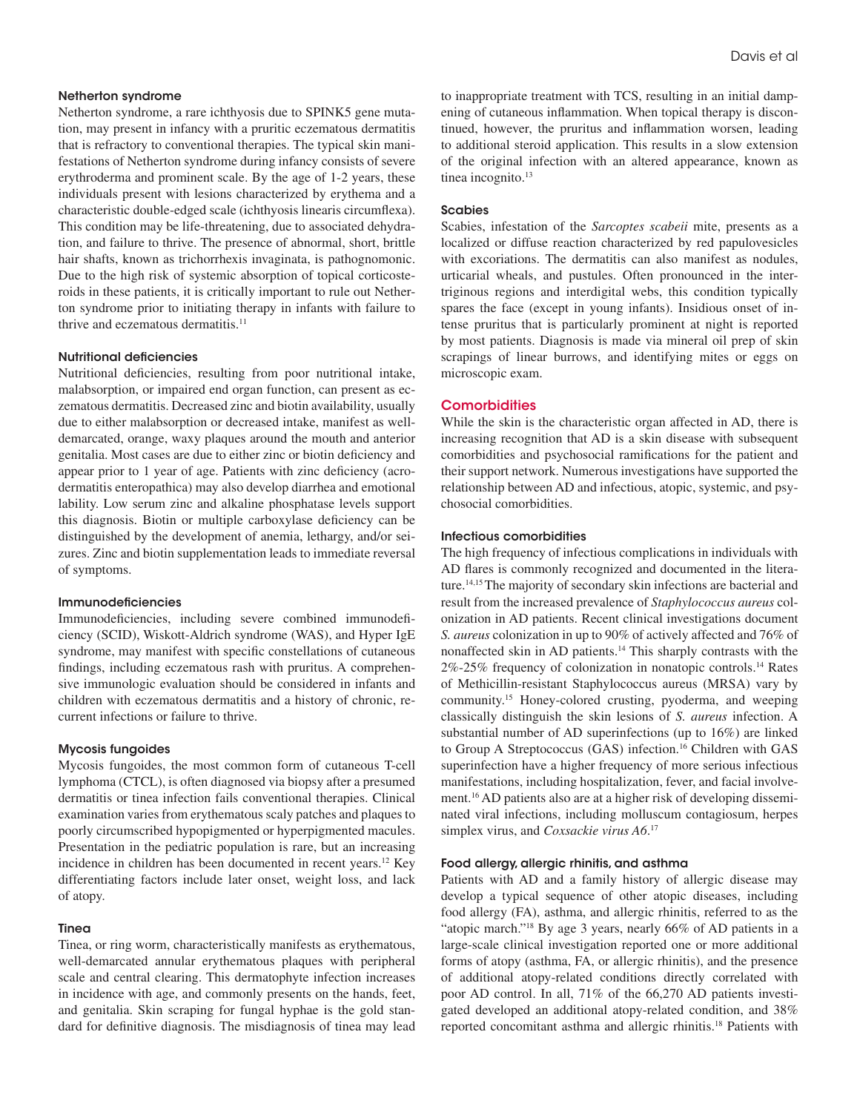#### Netherton syndrome

Netherton syndrome, a rare ichthyosis due to SPINK5 gene mutation, may present in infancy with a pruritic eczematous dermatitis that is refractory to conventional therapies. The typical skin manifestations of Netherton syndrome during infancy consists of severe erythroderma and prominent scale. By the age of 1-2 years, these individuals present with lesions characterized by erythema and a characteristic double-edged scale (ichthyosis linearis circumflexa). This condition may be life-threatening, due to associated dehydration, and failure to thrive. The presence of abnormal, short, brittle hair shafts, known as trichorrhexis invaginata, is pathognomonic. Due to the high risk of systemic absorption of topical corticosteroids in these patients, it is critically important to rule out Netherton syndrome prior to initiating therapy in infants with failure to thrive and eczematous dermatitis.<sup>11</sup>

## Nutritional deficiencies

Nutritional deficiencies, resulting from poor nutritional intake, malabsorption, or impaired end organ function, can present as eczematous dermatitis. Decreased zinc and biotin availability, usually due to either malabsorption or decreased intake, manifest as welldemarcated, orange, waxy plaques around the mouth and anterior genitalia. Most cases are due to either zinc or biotin deficiency and appear prior to 1 year of age. Patients with zinc deficiency (acrodermatitis enteropathica) may also develop diarrhea and emotional lability. Low serum zinc and alkaline phosphatase levels support this diagnosis. Biotin or multiple carboxylase deficiency can be distinguished by the development of anemia, lethargy, and/or seizures. Zinc and biotin supplementation leads to immediate reversal of symptoms.

#### Immunodeficiencies

Immunodeficiencies, including severe combined immunodeficiency (SCID), Wiskott-Aldrich syndrome (WAS), and Hyper IgE syndrome, may manifest with specific constellations of cutaneous findings, including eczematous rash with pruritus. A comprehensive immunologic evaluation should be considered in infants and children with eczematous dermatitis and a history of chronic, recurrent infections or failure to thrive.

#### Mycosis fungoides

Mycosis fungoides, the most common form of cutaneous T-cell lymphoma (CTCL), is often diagnosed via biopsy after a presumed dermatitis or tinea infection fails conventional therapies. Clinical examination varies from erythematous scaly patches and plaques to poorly circumscribed hypopigmented or hyperpigmented macules. Presentation in the pediatric population is rare, but an increasing incidence in children has been documented in recent years.12 Key differentiating factors include later onset, weight loss, and lack of atopy.

#### Tinea

Tinea, or ring worm, characteristically manifests as erythematous, well-demarcated annular erythematous plaques with peripheral scale and central clearing. This dermatophyte infection increases in incidence with age, and commonly presents on the hands, feet, and genitalia. Skin scraping for fungal hyphae is the gold standard for definitive diagnosis. The misdiagnosis of tinea may lead to inappropriate treatment with TCS, resulting in an initial dampening of cutaneous inflammation. When topical therapy is discontinued, however, the pruritus and inflammation worsen, leading to additional steroid application. This results in a slow extension of the original infection with an altered appearance, known as tinea incognito.<sup>13</sup>

#### **Scabies**

Scabies, infestation of the *Sarcoptes scabeii* mite, presents as a localized or diffuse reaction characterized by red papulovesicles with excoriations. The dermatitis can also manifest as nodules, urticarial wheals, and pustules. Often pronounced in the intertriginous regions and interdigital webs, this condition typically spares the face (except in young infants). Insidious onset of intense pruritus that is particularly prominent at night is reported by most patients. Diagnosis is made via mineral oil prep of skin scrapings of linear burrows, and identifying mites or eggs on microscopic exam.

## **Comorbidities**

While the skin is the characteristic organ affected in AD, there is increasing recognition that AD is a skin disease with subsequent comorbidities and psychosocial ramifications for the patient and their support network. Numerous investigations have supported the relationship between AD and infectious, atopic, systemic, and psychosocial comorbidities.

#### Infectious comorbidities

The high frequency of infectious complications in individuals with AD flares is commonly recognized and documented in the literature.14,15 The majority of secondary skin infections are bacterial and result from the increased prevalence of *Staphylococcus aureus* colonization in AD patients. Recent clinical investigations document *S. aureus* colonization in up to 90% of actively affected and 76% of nonaffected skin in AD patients.14 This sharply contrasts with the 2%-25% frequency of colonization in nonatopic controls.14 Rates of Methicillin-resistant Staphylococcus aureus (MRSA) vary by community.15 Honey-colored crusting, pyoderma, and weeping classically distinguish the skin lesions of *S. aureus* infection. A substantial number of AD superinfections (up to 16%) are linked to Group A Streptococcus (GAS) infection.<sup>16</sup> Children with GAS superinfection have a higher frequency of more serious infectious manifestations, including hospitalization, fever, and facial involvement.16 AD patients also are at a higher risk of developing disseminated viral infections, including molluscum contagiosum, herpes simplex virus, and *Coxsackie virus A6*. 17

#### Food allergy, allergic rhinitis, and asthma

Patients with AD and a family history of allergic disease may develop a typical sequence of other atopic diseases, including food allergy (FA), asthma, and allergic rhinitis, referred to as the "atopic march."18 By age 3 years, nearly 66% of AD patients in a large-scale clinical investigation reported one or more additional forms of atopy (asthma, FA, or allergic rhinitis), and the presence of additional atopy-related conditions directly correlated with poor AD control. In all, 71% of the 66,270 AD patients investigated developed an additional atopy-related condition, and 38% reported concomitant asthma and allergic rhinitis.18 Patients with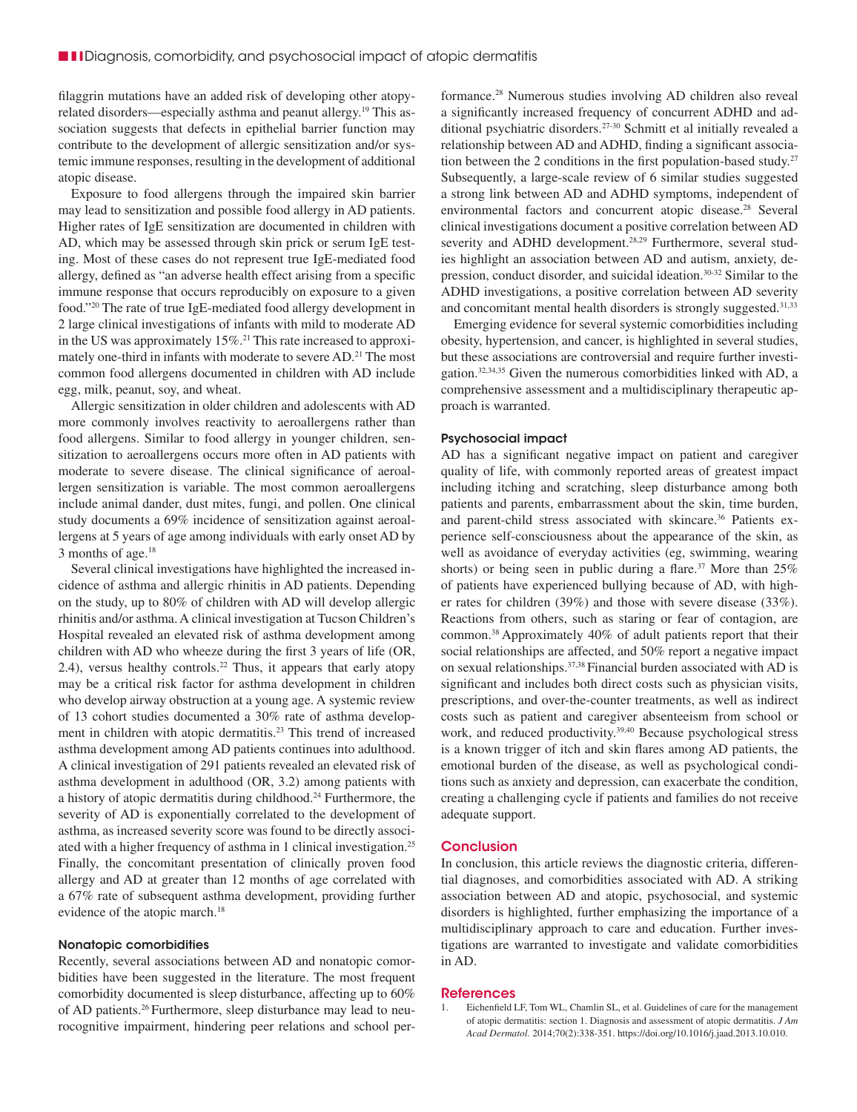filaggrin mutations have an added risk of developing other atopyrelated disorders—especially asthma and peanut allergy.19 This association suggests that defects in epithelial barrier function may contribute to the development of allergic sensitization and/or systemic immune responses, resulting in the development of additional atopic disease.

Exposure to food allergens through the impaired skin barrier may lead to sensitization and possible food allergy in AD patients. Higher rates of IgE sensitization are documented in children with AD, which may be assessed through skin prick or serum IgE testing. Most of these cases do not represent true IgE-mediated food allergy, defined as "an adverse health effect arising from a specific immune response that occurs reproducibly on exposure to a given food."20 The rate of true IgE-mediated food allergy development in 2 large clinical investigations of infants with mild to moderate AD in the US was approximately 15%.21 This rate increased to approximately one-third in infants with moderate to severe AD.<sup>21</sup> The most common food allergens documented in children with AD include egg, milk, peanut, soy, and wheat.

Allergic sensitization in older children and adolescents with AD more commonly involves reactivity to aeroallergens rather than food allergens. Similar to food allergy in younger children, sensitization to aeroallergens occurs more often in AD patients with moderate to severe disease. The clinical significance of aeroallergen sensitization is variable. The most common aeroallergens include animal dander, dust mites, fungi, and pollen. One clinical study documents a 69% incidence of sensitization against aeroallergens at 5 years of age among individuals with early onset AD by 3 months of age.<sup>18</sup>

Several clinical investigations have highlighted the increased incidence of asthma and allergic rhinitis in AD patients. Depending on the study, up to 80% of children with AD will develop allergic rhinitis and/or asthma. A clinical investigation at Tucson Children's Hospital revealed an elevated risk of asthma development among children with AD who wheeze during the first 3 years of life (OR, 2.4), versus healthy controls.<sup>22</sup> Thus, it appears that early atopy may be a critical risk factor for asthma development in children who develop airway obstruction at a young age. A systemic review of 13 cohort studies documented a 30% rate of asthma development in children with atopic dermatitis.<sup>23</sup> This trend of increased asthma development among AD patients continues into adulthood. A clinical investigation of 291 patients revealed an elevated risk of asthma development in adulthood (OR, 3.2) among patients with a history of atopic dermatitis during childhood.24 Furthermore, the severity of AD is exponentially correlated to the development of asthma, as increased severity score was found to be directly associated with a higher frequency of asthma in 1 clinical investigation.25 Finally, the concomitant presentation of clinically proven food allergy and AD at greater than 12 months of age correlated with a 67% rate of subsequent asthma development, providing further evidence of the atopic march.<sup>18</sup>

#### Nonatopic comorbidities

Recently, several associations between AD and nonatopic comorbidities have been suggested in the literature. The most frequent comorbidity documented is sleep disturbance, affecting up to 60% of AD patients.26 Furthermore, sleep disturbance may lead to neurocognitive impairment, hindering peer relations and school performance.28 Numerous studies involving AD children also reveal a significantly increased frequency of concurrent ADHD and additional psychiatric disorders.27-30 Schmitt et al initially revealed a relationship between AD and ADHD, finding a significant association between the 2 conditions in the first population-based study. $27$ Subsequently, a large-scale review of 6 similar studies suggested a strong link between AD and ADHD symptoms, independent of environmental factors and concurrent atopic disease.<sup>28</sup> Several clinical investigations document a positive correlation between AD severity and ADHD development.<sup>28,29</sup> Furthermore, several studies highlight an association between AD and autism, anxiety, depression, conduct disorder, and suicidal ideation.30-32 Similar to the ADHD investigations, a positive correlation between AD severity and concomitant mental health disorders is strongly suggested.<sup>31,33</sup>

Emerging evidence for several systemic comorbidities including obesity, hypertension, and cancer, is highlighted in several studies, but these associations are controversial and require further investigation.32,34,35 Given the numerous comorbidities linked with AD, a comprehensive assessment and a multidisciplinary therapeutic approach is warranted.

#### Psychosocial impact

AD has a significant negative impact on patient and caregiver quality of life, with commonly reported areas of greatest impact including itching and scratching, sleep disturbance among both patients and parents, embarrassment about the skin, time burden, and parent-child stress associated with skincare.<sup>36</sup> Patients experience self-consciousness about the appearance of the skin, as well as avoidance of everyday activities (eg, swimming, wearing shorts) or being seen in public during a flare.<sup>37</sup> More than  $25\%$ of patients have experienced bullying because of AD, with higher rates for children (39%) and those with severe disease (33%). Reactions from others, such as staring or fear of contagion, are common.38 Approximately 40% of adult patients report that their social relationships are affected, and 50% report a negative impact on sexual relationships.37,38 Financial burden associated with AD is significant and includes both direct costs such as physician visits, prescriptions, and over-the-counter treatments, as well as indirect costs such as patient and caregiver absenteeism from school or work, and reduced productivity.<sup>39,40</sup> Because psychological stress is a known trigger of itch and skin flares among AD patients, the emotional burden of the disease, as well as psychological conditions such as anxiety and depression, can exacerbate the condition, creating a challenging cycle if patients and families do not receive adequate support.

#### **Conclusion**

In conclusion, this article reviews the diagnostic criteria, differential diagnoses, and comorbidities associated with AD. A striking association between AD and atopic, psychosocial, and systemic disorders is highlighted, further emphasizing the importance of a multidisciplinary approach to care and education. Further investigations are warranted to investigate and validate comorbidities in AD.

#### **References**

1. Eichenfield LF, Tom WL, Chamlin SL, et al. Guidelines of care for the management of atopic dermatitis: section 1. Diagnosis and assessment of atopic dermatitis. *J Am Acad Dermatol.* 2014;70(2):338-351. https://doi.org/10.1016/j.jaad.2013.10.010.